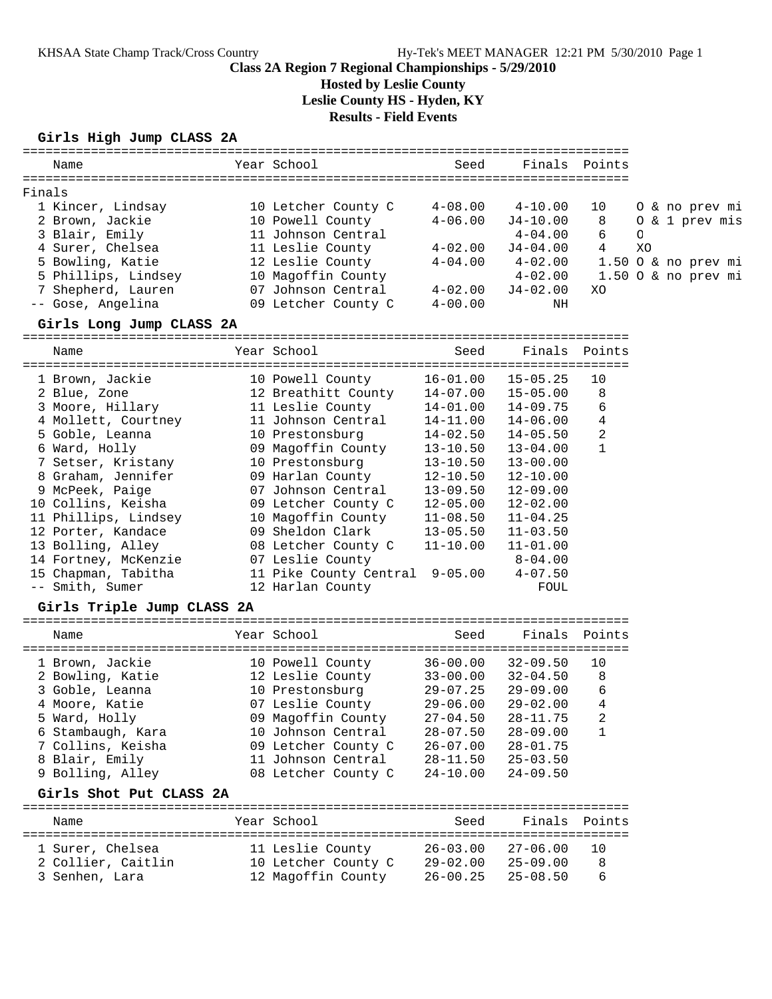## **Hosted by Leslie County**

**Leslie County HS - Hyden, KY**

**Results - Field Events**

#### **Girls High Jump CLASS 2A**

| Name                                                   | Year School                        | Seed         |              | Finals Points |                     |
|--------------------------------------------------------|------------------------------------|--------------|--------------|---------------|---------------------|
| Finals                                                 |                                    |              |              |               |                     |
| 1 Kincer, Lindsay                                      | 10 Letcher County C                | $4 - 08.00$  | $4 - 10.00$  | 10            | 0 & no prev mi      |
| 2 Brown, Jackie                                        | 10 Powell County                   | $4 - 06.00$  | $J4 - 10.00$ | 8             | 0 & 1 prev mis      |
| 3 Blair, Emily                                         | 11 Johnson Central                 |              | $4 - 04.00$  | 6             | O                   |
| 4 Surer, Chelsea                                       | 11 Leslie County                   | $4 - 02.00$  | J4-04.00     | $4 \quad$     | XO                  |
| 5 Bowling, Katie                                       | 12 Leslie County                   | $4 - 04.00$  | $4 - 02.00$  |               | 1.50 O & no prev mi |
| 5 Phillips, Lindsey                                    | 10 Magoffin County                 |              | $4 - 02.00$  |               | 1.50 O & no prev mi |
| 7 Shepherd, Lauren                                     | 07 Johnson Central 4-02.00         |              | $J4-02.00$   | XO            |                     |
| -- Gose, Angelina                                      | 09 Letcher County C                | $4 - 00.00$  | ΝH           |               |                     |
| Girls Long Jump CLASS 2A                               |                                    |              |              |               |                     |
| Name                                                   | Year School                        | Seed         | Finals       | Points        |                     |
|                                                        |                                    |              |              |               |                     |
| 1 Brown, Jackie                                        | 10 Powell County                   | $16 - 01.00$ | $15 - 05.25$ | 10            |                     |
| 2 Blue, Zone                                           | 12 Breathitt County 14-07.00       |              | $15 - 05.00$ | 8             |                     |
| 3 Moore, Hillary                                       | 11 Leslie County                   | 14-01.00     | $14 - 09.75$ | 6             |                     |
| 4 Mollett, Courtney                                    | 11 Johnson Central                 | 14-11.00     | $14 - 06.00$ | 4             |                     |
| 5 Goble, Leanna                                        | 10 Prestonsburg                    | $14 - 02.50$ | $14 - 05.50$ | 2             |                     |
| 6 Ward, Holly                                          | 09 Magoffin County                 | $13 - 10.50$ | $13 - 04.00$ | $\mathbf{1}$  |                     |
| 7 Setser, Kristany                                     | 10 Prestonsburg                    | $13 - 10.50$ | $13 - 00.00$ |               |                     |
| 8 Graham, Jennifer                                     | 09 Harlan County                   | 12-10.50     | $12 - 10.00$ |               |                     |
| 9 McPeek, Paige                                        | 07 Johnson Central                 | $13 - 09.50$ | $12 - 09.00$ |               |                     |
| 10 Collins, Keisha                                     | 09 Letcher County C                | $12 - 05.00$ | $12 - 02.00$ |               |                     |
| 11 Phillips, Lindsey                                   | 10 Magoffin County                 | $11 - 08.50$ | $11 - 04.25$ |               |                     |
| 12 Porter, Kandace                                     | 09 Sheldon Clark                   | $13 - 05.50$ | $11 - 03.50$ |               |                     |
| 13 Bolling, Alley                                      | 08 Letcher County C                | $11 - 10.00$ | $11 - 01.00$ |               |                     |
| 14 Fortney, McKenzie                                   | 07 Leslie County                   |              | $8 - 04.00$  |               |                     |
| 15 Chapman, Tabitha                                    | 11 Pike County Central 9-05.00     |              | $4 - 07.50$  |               |                     |
| -- Smith, Sumer                                        | 12 Harlan County                   |              | FOUL         |               |                     |
| Girls Triple Jump CLASS 2A                             |                                    |              |              |               |                     |
| Name                                                   | Year School                        | Seed         |              | Finals Points |                     |
| 1 Brown, Jackie                                        | 10 Powell County 36-00.00 32-09.50 |              |              | 10            |                     |
| 2 Bouling Katio (12 Joglie County (22 00:00 22 04:50 ) |                                    |              |              |               |                     |

| 2 Bowling, Katie  | 12 Leslie County    | $33 - 00.00$ | $32 - 04.50$ | 8 |
|-------------------|---------------------|--------------|--------------|---|
| 3 Goble, Leanna   | 10 Prestonsburg     | $29 - 07.25$ | $29 - 09.00$ | 6 |
| 4 Moore, Katie    | 07 Leslie County    | $29 - 06.00$ | $29 - 02.00$ | 4 |
| 5 Ward, Holly     | 09 Magoffin County  | $27 - 04.50$ | $28 - 11.75$ | 2 |
| 6 Stambaugh, Kara | 10 Johnson Central  | $28 - 07.50$ | $28 - 09.00$ |   |
| 7 Collins, Keisha | 09 Letcher County C | $26 - 07.00$ | $28 - 01.75$ |   |
| 8 Blair, Emily    | 11 Johnson Central  | $28 - 11.50$ | $25 - 03.50$ |   |
| 9 Bolling, Alley  | 08 Letcher County C | $24 - 10.00$ | $24 - 09.50$ |   |

#### **Girls Shot Put CLASS 2A**

================================================================================ Name The Year School Seed Finals Points ================================================================================ 1 Surer, Chelsea 11 Leslie County 26-03.00 27-06.00 10 2 Collier, Caitlin 10 Letcher County C 29-02.00 25-09.00 8 3 Senhen, Lara 12 Magoffin County 26-00.25 25-08.50 6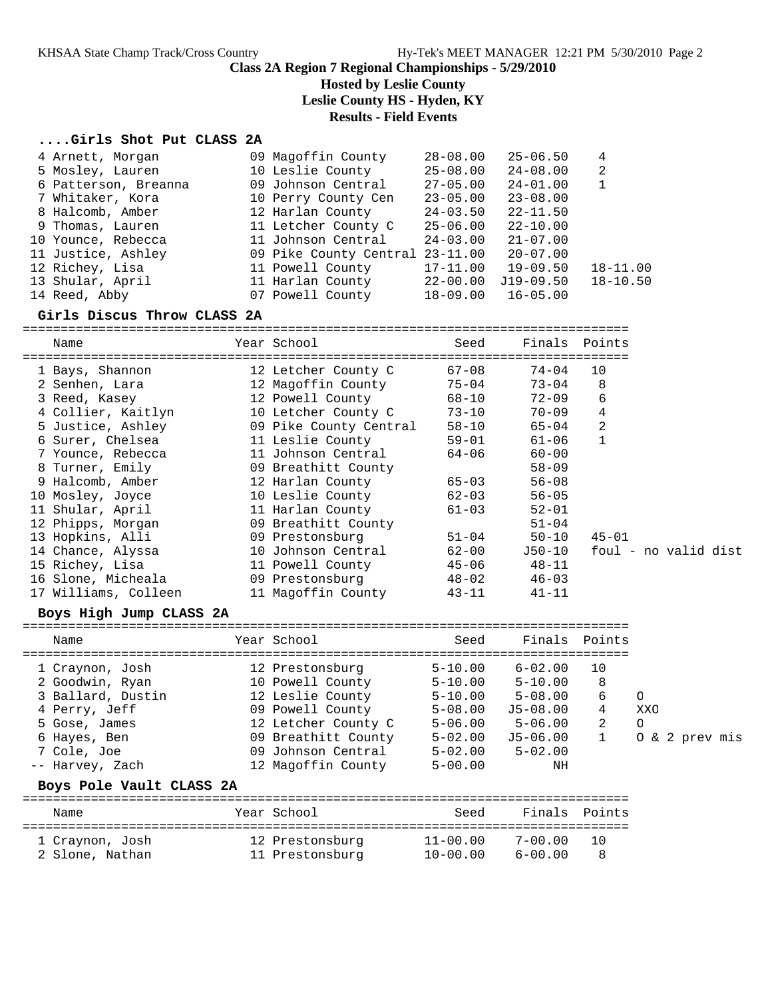## **Hosted by Leslie County**

**Leslie County HS - Hyden, KY**

### **Results - Field Events**

#### **....Girls Shot Put CLASS 2A**

| 4 Arnett, Morgan     | 09 Magoffin County              | $28 - 08.00$ | $25 - 06.50$ | 4            |
|----------------------|---------------------------------|--------------|--------------|--------------|
| 5 Mosley, Lauren     | 10 Leslie County                | $25 - 08.00$ | $24 - 08.00$ | 2            |
| 6 Patterson, Breanna | 09 Johnson Central              | $27 - 05.00$ | $24 - 01.00$ | $\mathbf{1}$ |
| 7 Whitaker, Kora     | 10 Perry County Cen             | $23 - 05.00$ | $23 - 08.00$ |              |
| 8 Halcomb, Amber     | 12 Harlan County                | $24 - 03.50$ | $22 - 11.50$ |              |
| 9 Thomas, Lauren     | 11 Letcher County C             | $25 - 06.00$ | $22 - 10.00$ |              |
| 10 Younce, Rebecca   | 11 Johnson Central              | $24 - 03.00$ | $21 - 07.00$ |              |
| 11 Justice, Ashley   | 09 Pike County Central 23-11.00 |              | $20 - 07.00$ |              |
| 12 Richey, Lisa      | 11 Powell County                | $17 - 11.00$ | $19 - 09.50$ | $18 - 11.00$ |
| 13 Shular, April     | 11 Harlan County                | $22 - 00.00$ | $J19-09.50$  | $18 - 10.50$ |
| 14 Reed, Abby        | 07 Powell County                | $18 - 09.00$ | $16 - 05.00$ |              |

# **Girls Discus Throw CLASS 2A**

================================================================================ Name Year School Seed Finals Points ================================================================================ 1 Bays, Shannon 12 Letcher County C 67-08 74-04 10 2 Senhen, Lara 12 Magoffin County 75-04 73-04 8 3 Reed, Kasey 12 Powell County 68-10 72-09 6 4 Collier, Kaitlyn 10 Letcher County C 73-10 70-09 4 5 Justice, Ashley 09 Pike County Central 58-10 65-04 2 6 Surer, Chelsea 11 Leslie County 59-01 61-06 1 7 Younce, Rebecca 11 Johnson Central 64-06 60-00 8 Turner, Emily 09 Breathitt County 58-09 9 Halcomb, Amber 12 Harlan County 65-03 56-08 10 Mosley, Joyce 10 Leslie County 62-03 56-05 11 Shular, April 11 Harlan County 61-03 52-01 12 Phipps, Morgan 09 Breathitt County 51-04 13 Hopkins, Alli 09 Prestonsburg 51-04 50-10 45-01 14 Chance, Alyssa 10 Johnson Central 62-00 J50-10 foul - no valid dist 15 Richey, Lisa 11 Powell County 45-06 48-11 16 Slone, Micheala 09 Prestonsburg 48-02 46-03 17 Williams, Colleen 11 Magoffin County 43-11 41-11

#### **Boys High Jump CLASS 2A**

| Name              | Year School         | Seed        | Finals Points |    |                |
|-------------------|---------------------|-------------|---------------|----|----------------|
| 1 Craynon, Josh   | 12 Prestonsburg     | $5 - 10.00$ | $6 - 02.00$   | 10 |                |
| 2 Goodwin, Ryan   | 10 Powell County    | $5 - 10.00$ | $5 - 10.00$   | 8  |                |
| 3 Ballard, Dustin | 12 Leslie County    | $5 - 10.00$ | $5 - 08.00$   | 6  | $\Omega$       |
| 4 Perry, Jeff     | 09 Powell County    | $5 - 08.00$ | J5-08.00      | 4  | XXO            |
| 5 Gose, James     | 12 Letcher County C | $5 - 06.00$ | $5 - 06.00$   | 2  | O              |
| 6 Hayes, Ben      | 09 Breathitt County | $5 - 02.00$ | $J5-06.00$    |    | 0 & 2 prev mis |
| 7 Cole, Joe       | 09 Johnson Central  | $5 - 02.00$ | $5 - 02.00$   |    |                |
| -- Harvey, Zach   | 12 Magoffin County  | $5 - 00.00$ | ΝH            |    |                |
|                   |                     |             |               |    |                |

#### **Boys Pole Vault CLASS 2A**

| Name                               | Year School                        | Seed                         | Finals Points              |  |
|------------------------------------|------------------------------------|------------------------------|----------------------------|--|
| 1 Craynon, Josh<br>2 Slone, Nathan | 12 Prestonsburg<br>11 Prestonsburg | $11 - 00.00$<br>$10 - 00.00$ | $7 - 00.00$<br>$6 - 00.00$ |  |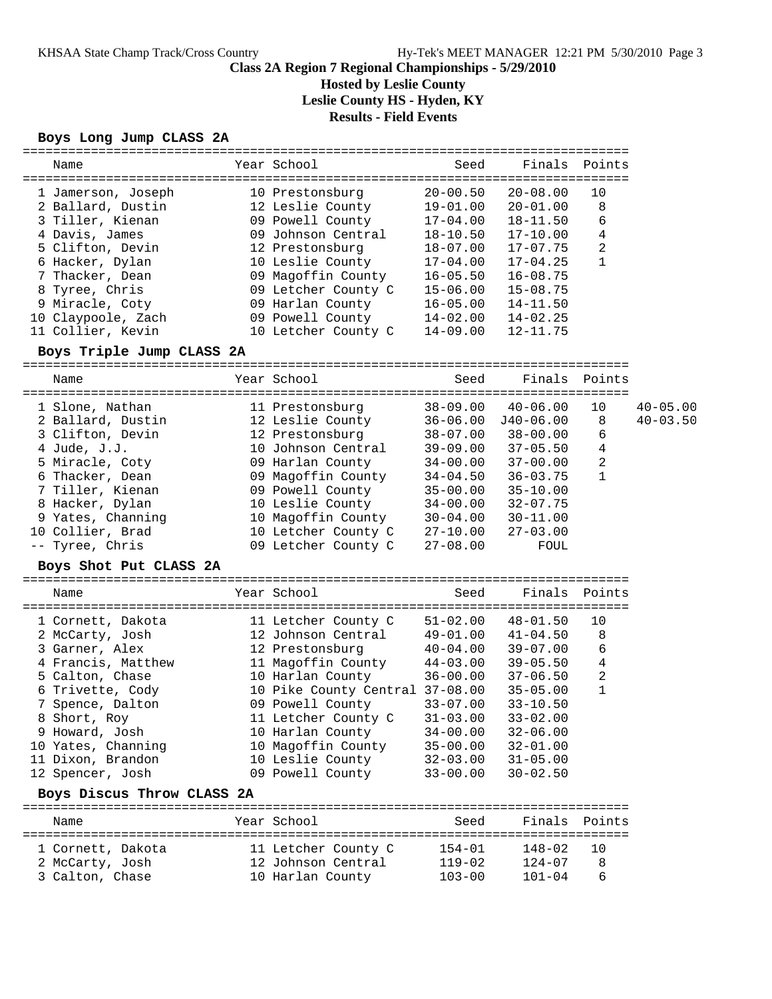**Hosted by Leslie County**

**Leslie County HS - Hyden, KY**

**Results - Field Events**

**Boys Long Jump CLASS 2A**

| Name                      | Year School                         | Seed         | Finals Points |                |              |
|---------------------------|-------------------------------------|--------------|---------------|----------------|--------------|
|                           |                                     |              |               |                |              |
| 1 Jamerson, Joseph        | 10 Prestonsburg                     | $20 - 00.50$ | $20 - 08.00$  | 10             |              |
| 2 Ballard, Dustin         | 12 Leslie County                    | $19 - 01.00$ | $20 - 01.00$  | 8              |              |
| 3 Tiller, Kienan          | 09 Powell County                    | $17 - 04.00$ | $18 - 11.50$  | 6              |              |
| 4 Davis, James            | 09 Johnson Central                  | 18-10.50     | $17 - 10.00$  | 4              |              |
| 5 Clifton, Devin          | 12 Prestonsburg                     | 18-07.00     | $17 - 07.75$  | $\overline{2}$ |              |
| 6 Hacker, Dylan           | 10 Leslie County                    | 17-04.00     | $17 - 04.25$  | $\mathbf{1}$   |              |
| 7 Thacker, Dean           | 09 Magoffin County 16-05.50         |              | $16 - 08.75$  |                |              |
| 8 Tyree, Chris            | 09 Letcher County C 15-06.00        |              | $15 - 08.75$  |                |              |
| 9 Miracle, Coty           | 09 Harlan County                    | $16 - 05.00$ | $14 - 11.50$  |                |              |
| 10 Claypoole, Zach        | 09 Powell County                    | 14-02.00     | $14 - 02.25$  |                |              |
| 11 Collier, Kevin         | 10 Letcher County C                 | $14 - 09.00$ | $12 - 11.75$  |                |              |
| Boys Triple Jump CLASS 2A |                                     |              |               |                |              |
| Name                      | Year School                         | Seed         | Finals        | Points         |              |
|                           |                                     |              |               |                |              |
| 1 Slone, Nathan           | 11 Prestonsburg                     | 38-09.00     | $40 - 06.00$  | 10             | $40 - 05.00$ |
| 2 Ballard, Dustin         | 12 Leslie County 36-06.00 J40-06.00 |              |               | 8              | $40 - 03.50$ |
| 3 Clifton, Devin          | 12 Prestonsburg 38-07.00            |              | $38 - 00.00$  | 6              |              |
| 4 Jude, J.J.              | 10 Johnson Central 39-09.00         |              | $37 - 05.50$  | 4              |              |
| 5 Miracle, Coty           | 09 Harlan County                    | 34-00.00     | $37 - 00.00$  | $\mathbf{2}$   |              |
| 6 Thacker, Dean           | 09 Magoffin County 34-04.50         |              | $36 - 03.75$  | $\mathbf{1}$   |              |
| 7 Tiller, Kienan          | 09 Powell County                    | 35-00.00     | $35 - 10.00$  |                |              |
| 8 Hacker, Dylan           | 10 Leslie County                    | 34-00.00     | $32 - 07.75$  |                |              |
| 9 Yates, Channing         | 10 Magoffin County                  | $30 - 04.00$ | $30 - 11.00$  |                |              |
| 10 Collier, Brad          | 10 Letcher County C                 | $27 - 10.00$ | $27 - 03.00$  |                |              |
| -- Tyree, Chris           | 09 Letcher County C                 | $27 - 08.00$ | FOUL          |                |              |
| Boys Shot Put CLASS 2A    |                                     |              |               |                |              |
|                           |                                     |              |               |                |              |
| Name                      | Year School                         | Seed         | Finals        | Points         |              |
|                           |                                     |              |               |                |              |
| 1 Cornett, Dakota         | 11 Letcher County C                 | 51-02.00     | $48 - 01.50$  | 10             |              |
| 2 McCarty, Josh           | 12 Johnson Central                  | $49 - 01.00$ | $41 - 04.50$  | 8              |              |
| 3 Garner, Alex            | 12 Prestonsburg                     | $40 - 04.00$ | $39 - 07.00$  | 6              |              |
| 4 Francis, Matthew        | 11 Magoffin County                  | 44-03.00     | $39 - 05.50$  | $\overline{4}$ |              |
| 5 Calton, Chase           | 10 Harlan County                    | $36 - 00.00$ | $37 - 06.50$  | $\overline{2}$ |              |

 6 Trivette, Cody 10 Pike County Central 37-08.00 35-05.00 1 7 Spence, Dalton 09 Powell County 33-07.00 33-10.50 8 Short, Roy 11 Letcher County C 31-03.00 33-02.00 9 Howard, Josh 10 Harlan County 34-00.00 32-06.00 10 Yates, Channing 10 Magoffin County 35-00.00 32-01.00 11 Dixon, Brandon 10 Leslie County 32-03.00 31-05.00 12 Spencer, Josh 09 Powell County 33-00.00 30-02.50

#### **Boys Discus Throw CLASS 2A**

================================================================================ Name Year School Seed Finals Points ================================================================================ 1 Cornett, Dakota 11 Letcher County C 154-01 148-02 10 2 McCarty, Josh 12 Johnson Central 119-02 124-07 8 3 Calton, Chase 10 Harlan County 103-00 101-04 6